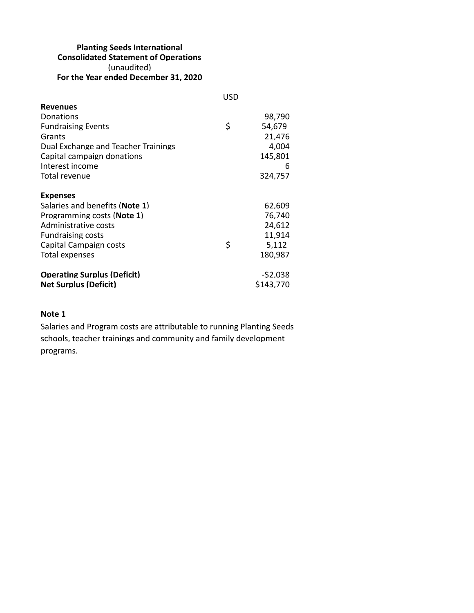## **Planting Seeds International Consolidated Statement of Operations** (unaudited) **For the Year ended December 31, 2020**

|                                         | USD |           |
|-----------------------------------------|-----|-----------|
| <b>Revenues</b>                         |     |           |
| Donations                               |     | 98,790    |
| <b>Fundraising Events</b>               | \$  | 54,679    |
| Grants                                  |     | 21,476    |
| Dual Exchange and Teacher Trainings     |     | 4,004     |
| Capital campaign donations              |     | 145,801   |
| Interest income                         |     | 6         |
| Total revenue                           |     | 324,757   |
| <b>Expenses</b>                         |     |           |
| Salaries and benefits ( <b>Note 1</b> ) |     | 62,609    |
| Programming costs ( <b>Note 1</b> )     |     | 76,740    |
| Administrative costs                    |     | 24,612    |
| <b>Fundraising costs</b>                |     | 11,914    |
| Capital Campaign costs                  | \$  | 5,112     |
| Total expenses                          |     | 180.987   |
| <b>Operating Surplus (Deficit)</b>      |     | $-52,038$ |
| <b>Net Surplus (Deficit)</b>            |     | \$143.770 |

## **Note 1**

Salaries and Program costs are attributable to running Planting Seeds schools, teacher trainings and community and family development programs.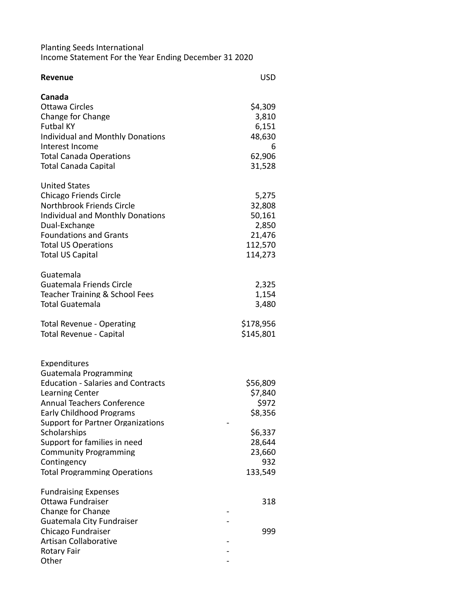Planting Seeds International Income Statement For the Year Ending December 31 2020

| <b>Revenue</b>                            | <b>USD</b> |
|-------------------------------------------|------------|
| Canada                                    |            |
| <b>Ottawa Circles</b>                     | \$4,309    |
| Change for Change                         | 3,810      |
| <b>Futbal KY</b>                          | 6,151      |
| <b>Individual and Monthly Donations</b>   | 48,630     |
| Interest Income                           | 6          |
| <b>Total Canada Operations</b>            | 62,906     |
| <b>Total Canada Capital</b>               | 31,528     |
| <b>United States</b>                      |            |
| <b>Chicago Friends Circle</b>             | 5,275      |
| Northbrook Friends Circle                 | 32,808     |
| <b>Individual and Monthly Donations</b>   | 50,161     |
| Dual-Exchange                             | 2,850      |
| <b>Foundations and Grants</b>             | 21,476     |
| <b>Total US Operations</b>                | 112,570    |
| <b>Total US Capital</b>                   | 114,273    |
| Guatemala                                 |            |
| Guatemala Friends Circle                  | 2,325      |
| Teacher Training & School Fees            | 1,154      |
| <b>Total Guatemala</b>                    | 3,480      |
| <b>Total Revenue - Operating</b>          | \$178,956  |
| <b>Total Revenue - Capital</b>            | \$145,801  |
| Expenditures                              |            |
| Guatemala Programming                     |            |
| <b>Education - Salaries and Contracts</b> | \$56,809   |
| <b>Learning Center</b>                    | \$7,840    |
| <b>Annual Teachers Conference</b>         | \$972      |
| <b>Early Childhood Programs</b>           | \$8,356    |
| Support for Partner Organizations         |            |
| Scholarships                              | \$6,337    |
| Support for families in need              | 28,644     |
| <b>Community Programming</b>              | 23,660     |
| Contingency                               | 932        |
| <b>Total Programming Operations</b>       | 133,549    |
| <b>Fundraising Expenses</b>               |            |
| Ottawa Fundraiser                         | 318        |
| Change for Change                         |            |
| Guatemala City Fundraiser                 |            |
| Chicago Fundraiser                        | 999        |
| <b>Artisan Collaborative</b>              |            |
| Rotary Fair                               |            |
| Other                                     |            |